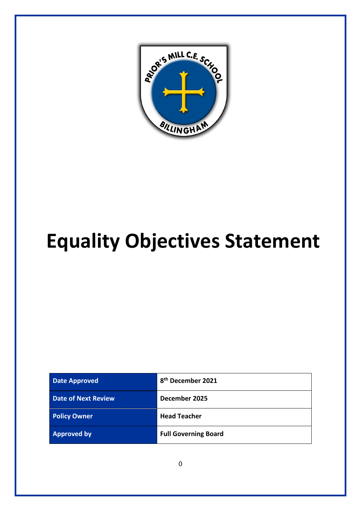

# **Equality Objectives Statement**

| <b>Date Approved</b>       | 8 <sup>th</sup> December 2021 |
|----------------------------|-------------------------------|
| <b>Date of Next Review</b> | December 2025                 |
| <b>Policy Owner</b>        | <b>Head Teacher</b>           |
| <b>Approved by</b>         | <b>Full Governing Board</b>   |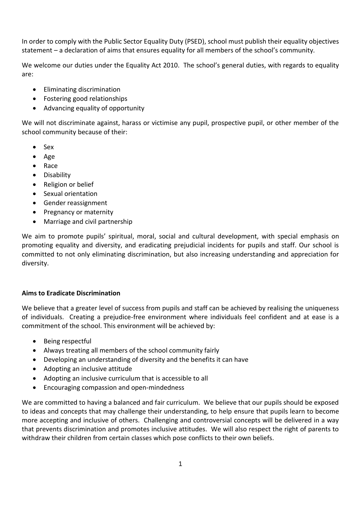In order to comply with the Public Sector Equality Duty (PSED), school must publish their equality objectives statement – a declaration of aims that ensures equality for all members of the school's community.

We welcome our duties under the Equality Act 2010. The school's general duties, with regards to equality are:

- Eliminating discrimination
- Fostering good relationships
- Advancing equality of opportunity

We will not discriminate against, harass or victimise any pupil, prospective pupil, or other member of the school community because of their:

- Sex
- Age
- Race
- Disability
- Religion or belief
- Sexual orientation
- Gender reassignment
- Pregnancy or maternity
- Marriage and civil partnership

We aim to promote pupils' spiritual, moral, social and cultural development, with special emphasis on promoting equality and diversity, and eradicating prejudicial incidents for pupils and staff. Our school is committed to not only eliminating discrimination, but also increasing understanding and appreciation for diversity.

## **Aims to Eradicate Discrimination**

We believe that a greater level of success from pupils and staff can be achieved by realising the uniqueness of individuals. Creating a prejudice-free environment where individuals feel confident and at ease is a commitment of the school. This environment will be achieved by:

- Being respectful
- Always treating all members of the school community fairly
- Developing an understanding of diversity and the benefits it can have
- Adopting an inclusive attitude
- Adopting an inclusive curriculum that is accessible to all
- Encouraging compassion and open-mindedness

We are committed to having a balanced and fair curriculum. We believe that our pupils should be exposed to ideas and concepts that may challenge their understanding, to help ensure that pupils learn to become more accepting and inclusive of others. Challenging and controversial concepts will be delivered in a way that prevents discrimination and promotes inclusive attitudes. We will also respect the right of parents to withdraw their children from certain classes which pose conflicts to their own beliefs.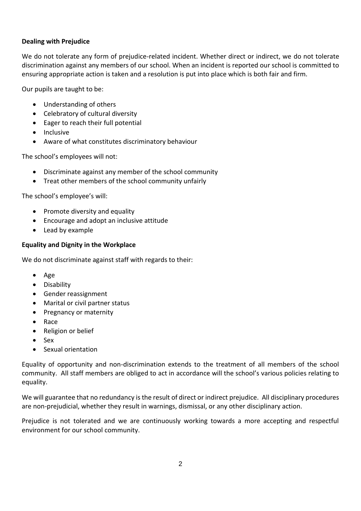## **Dealing with Prejudice**

We do not tolerate any form of prejudice-related incident. Whether direct or indirect, we do not tolerate discrimination against any members of our school. When an incident is reported our school is committed to ensuring appropriate action is taken and a resolution is put into place which is both fair and firm.

Our pupils are taught to be:

- Understanding of others
- Celebratory of cultural diversity
- Eager to reach their full potential
- Inclusive
- Aware of what constitutes discriminatory behaviour

The school's employees will not:

- Discriminate against any member of the school community
- Treat other members of the school community unfairly

The school's employee's will:

- Promote diversity and equality
- Encourage and adopt an inclusive attitude
- Lead by example

#### **Equality and Dignity in the Workplace**

We do not discriminate against staff with regards to their:

- Age
- Disability
- Gender reassignment
- Marital or civil partner status
- Pregnancy or maternity
- Race
- Religion or belief
- Sex
- Sexual orientation

Equality of opportunity and non-discrimination extends to the treatment of all members of the school community. All staff members are obliged to act in accordance will the school's various policies relating to equality.

We will guarantee that no redundancy is the result of direct or indirect prejudice. All disciplinary procedures are non-prejudicial, whether they result in warnings, dismissal, or any other disciplinary action.

Prejudice is not tolerated and we are continuously working towards a more accepting and respectful environment for our school community.